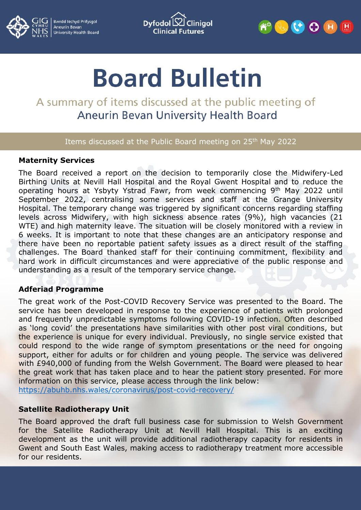

**Bwrdd lechyd Prifysgol** Aneurin Bevan<br>University Health Board

Dyfodol  $\mathsf B$ **Cliniaol Clinical Futures** 



# **Board Bulletin**

## A summary of items discussed at the public meeting of **Aneurin Bevan University Health Board**

#### Items discussed at the Public Board meeting on 25<sup>th</sup> May 2022

#### **Maternity Services**

The Board received a report on the decision to temporarily close the Midwifery-Led Birthing Units at Nevill Hall Hospital and the Royal Gwent Hospital and to reduce the operating hours at Ysbyty Ystrad Fawr, from week commencing 9th May 2022 until September 2022, centralising some services and staff at the Grange University Hospital. The temporary change was triggered by significant concerns regarding staffing levels across Midwifery, with high sickness absence rates (9%), high vacancies (21 WTE) and high maternity leave. The situation will be closely monitored with a review in 6 weeks. It is important to note that these changes are an anticipatory response and there have been no reportable patient safety issues as a direct result of the staffing challenges. The Board thanked staff for their continuing commitment, flexibility and hard work in difficult circumstances and were appreciative of the public response and understanding as a result of the temporary service change.

#### **Adferiad Programme**

The great work of the Post-COVID Recovery Service was presented to the Board. The service has been developed in response to the experience of patients with prolonged and frequently unpredictable symptoms following COVID-19 infection. Often described as 'long covid' the presentations have similarities with other post viral conditions, but the experience is unique for every individual. Previously, no single service existed that could respond to the wide range of symptom presentations or the need for ongoing support, either for adults or for children and young people. The service was delivered with £940,000 of funding from the Welsh Government. The Board were pleased to hear the great work that has taken place and to hear the patient story presented. For more information on this service, please access through the link below: <https://abuhb.nhs.wales/coronavirus/post-covid-recovery/>

#### **Satellite Radiotherapy Unit**

The Board approved the draft full business case for submission to Welsh Government for the Satellite Radiotherapy Unit at Nevill Hall Hospital. This is an exciting development as the unit will provide additional radiotherapy capacity for residents in Gwent and South East Wales, making access to radiotherapy treatment more accessible for our residents.